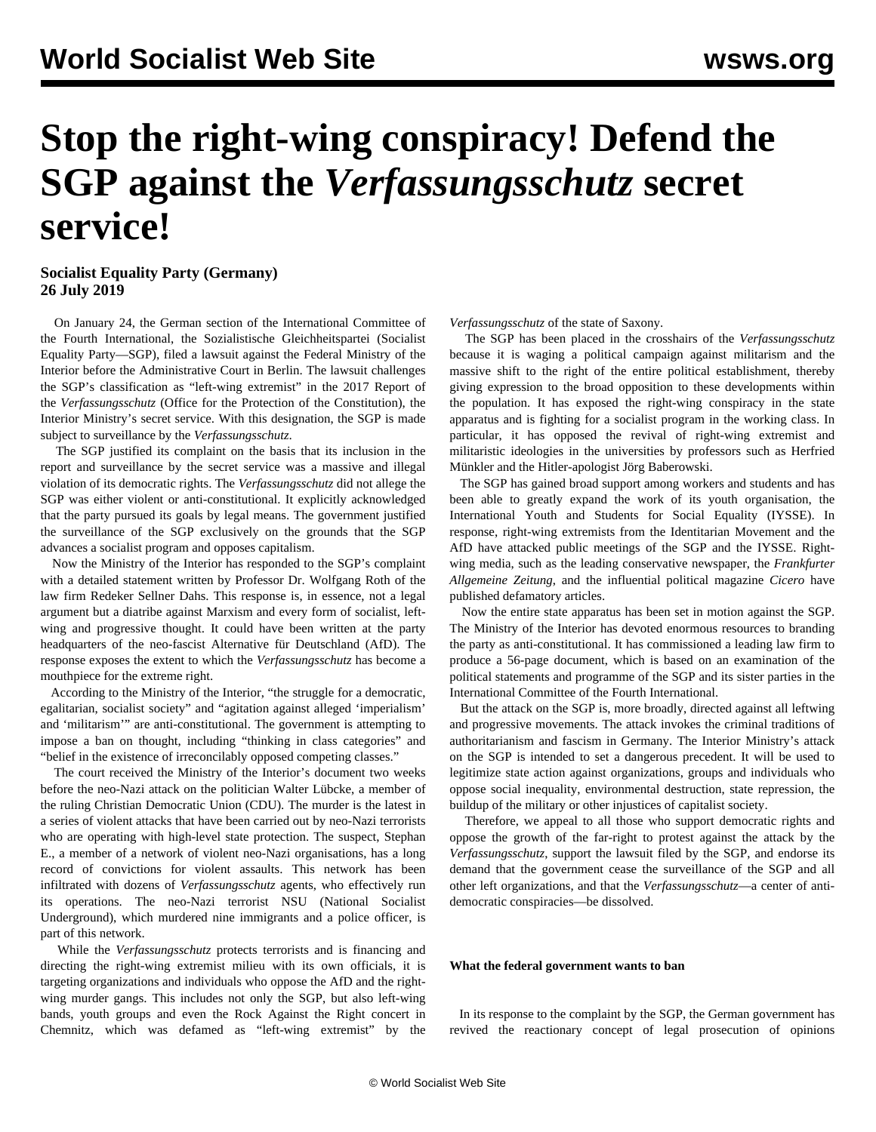# **Stop the right-wing conspiracy! Defend the SGP against the** *Verfassungsschutz* **secret service!**

## **Socialist Equality Party (Germany) 26 July 2019**

 On January 24, the German section of the International Committee of the Fourth International, the Sozialistische Gleichheitspartei (Socialist Equality Party—SGP), filed a [lawsuit](/de/articles/2019/03/11/verf-m11.html) against the Federal Ministry of the Interior before the Administrative Court in Berlin. The lawsuit challenges the SGP's classification as "left-wing extremist" in the 2017 Report of the *Verfassungsschutz* (Office for the Protection of the Constitution), the Interior Ministry's secret service. With this designation, the SGP is made subject to surveillance by the *Verfassungsschutz*.

 The SGP justified its complaint on the basis that its inclusion in the report and surveillance by the secret service was a massive and illegal violation of its democratic rights. The *Verfassungsschutz* did not allege the SGP was either violent or anti-constitutional. It explicitly acknowledged that the party pursued its goals by legal means. The government justified the surveillance of the SGP exclusively on the grounds that the SGP advances a socialist program and opposes capitalism.

 Now the Ministry of the Interior has responded to the SGP's complaint with a detailed statement written by Professor Dr. Wolfgang Roth of the law firm Redeker Sellner Dahs. This response is, in essence, not a legal argument but a diatribe against Marxism and every form of socialist, leftwing and progressive thought. It could have been written at the party headquarters of the neo-fascist Alternative für Deutschland (AfD). The response exposes the extent to which the *Verfassungsschutz* has become a mouthpiece for the extreme right.

 According to the Ministry of the Interior, "the struggle for a democratic, egalitarian, socialist society" and "agitation against alleged 'imperialism' and 'militarism'" are anti-constitutional. The government is attempting to impose a ban on thought, including "thinking in class categories" and "belief in the existence of irreconcilably opposed competing classes."

 The court received the Ministry of the Interior's document two weeks before the neo-Nazi attack on the politician Walter Lübcke, a member of the ruling Christian Democratic Union (CDU). The murder is the latest in a series of violent attacks that have been carried out by neo-Nazi terrorists who are operating with high-level state protection. The suspect, Stephan E., a member of a network of violent neo-Nazi organisations, has a long record of convictions for violent assaults. This network has been infiltrated with dozens of *Verfassungsschutz* agents, who effectively run its operations. The neo-Nazi terrorist NSU (National Socialist Underground), which murdered nine immigrants and a police officer, is part of this network.

 While the *Verfassungsschutz* protects terrorists and is financing and directing the right-wing extremist milieu with its own officials, it is targeting organizations and individuals who oppose the AfD and the rightwing murder gangs. This includes not only the SGP, but also left-wing bands, youth groups and even the Rock Against the Right concert in Chemnitz, which was defamed as "left-wing extremist" by the

*Verfassungsschutz* of the state of Saxony.

 The SGP has been placed in the crosshairs of the *Verfassungsschutz* because it is waging a political campaign against militarism and the massive shift to the right of the entire political establishment, thereby giving expression to the broad opposition to these developments within the population. It has exposed the right-wing conspiracy in the state apparatus and is fighting for a socialist program in the working class. In particular, it has opposed the revival of right-wing extremist and militaristic ideologies in the universities by professors such as Herfried Münkler and the Hitler-apologist Jörg Baberowski.

 The SGP has gained broad support among workers and students and has been able to greatly expand the work of its youth organisation, the International Youth and Students for Social Equality (IYSSE). In response, right-wing extremists from the Identitarian Movement and the AfD have attacked public meetings of the SGP and the IYSSE. Rightwing media, such as the leading conservative newspaper, the *Frankfurter Allgemeine Zeitung*, and the influential political magazine *Cicero* have published defamatory articles.

 Now the entire state apparatus has been set in motion against the SGP. The Ministry of the Interior has devoted enormous resources to branding the party as anti-constitutional. It has commissioned a leading law firm to produce a 56-page document, which is based on an examination of the political statements and programme of the SGP and its sister parties in the International Committee of the Fourth International.

 But the attack on the SGP is, more broadly, directed against all leftwing and progressive movements. The attack invokes the criminal traditions of authoritarianism and fascism in Germany. The Interior Ministry's attack on the SGP is intended to set a dangerous precedent. It will be used to legitimize state action against organizations, groups and individuals who oppose social inequality, environmental destruction, state repression, the buildup of the military or other injustices of capitalist society.

 Therefore, we appeal to all those who support democratic rights and oppose the growth of the far-right to protest against the attack by the *Verfassungsschutz*, support the lawsuit filed by the SGP, and endorse its demand that the government cease the surveillance of the SGP and all other left organizations, and that the *Verfassungsschutz*—a center of antidemocratic conspiracies—be dissolved.

#### **What the federal government wants to ban**

 In its response to the complaint by the SGP, the German government has revived the reactionary concept of legal prosecution of opinions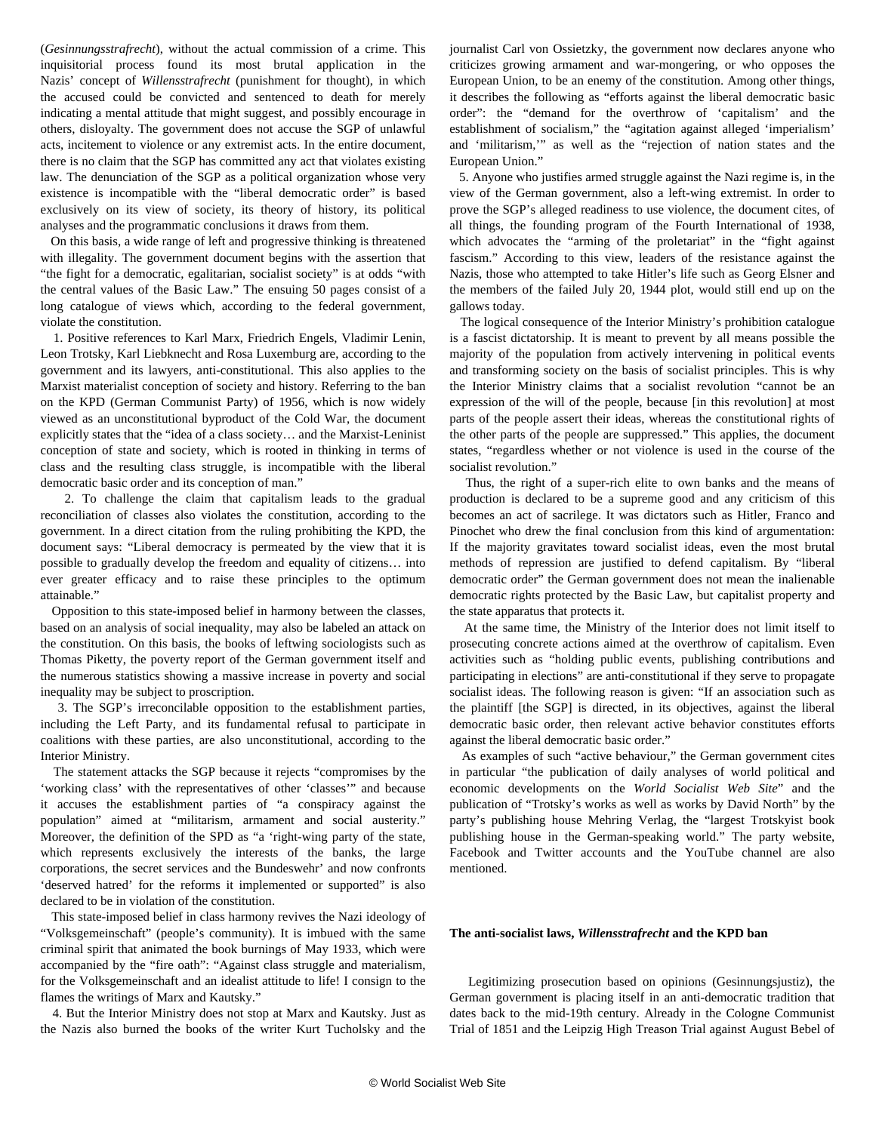(*Gesinnungsstrafrecht*), without the actual commission of a crime. This inquisitorial process found its most brutal application in the Nazis' concept of *Willensstrafrecht* (punishment for thought), in which the accused could be convicted and sentenced to death for merely indicating a mental attitude that might suggest, and possibly encourage in others, disloyalty. The government does not accuse the SGP of unlawful acts, incitement to violence or any extremist acts. In the entire document, there is no claim that the SGP has committed any act that violates existing law. The denunciation of the SGP as a political organization whose very existence is incompatible with the "liberal democratic order" is based exclusively on its view of society, its theory of history, its political analyses and the programmatic conclusions it draws from them.

 On this basis, a wide range of left and progressive thinking is threatened with illegality. The government document begins with the assertion that "the fight for a democratic, egalitarian, socialist society" is at odds "with the central values of the Basic Law." The ensuing 50 pages consist of a long catalogue of views which, according to the federal government, violate the constitution.

 1. Positive references to Karl Marx, Friedrich Engels, Vladimir Lenin, Leon Trotsky, Karl Liebknecht and Rosa Luxemburg are, according to the government and its lawyers, anti-constitutional. This also applies to the Marxist materialist conception of society and history. Referring to the ban on the KPD (German Communist Party) of 1956, which is now widely viewed as an unconstitutional byproduct of the Cold War, the document explicitly states that the "idea of a class society… and the Marxist-Leninist conception of state and society, which is rooted in thinking in terms of class and the resulting class struggle, is incompatible with the liberal democratic basic order and its conception of man."

 2. To challenge the claim that capitalism leads to the gradual reconciliation of classes also violates the constitution, according to the government. In a direct citation from the ruling prohibiting the KPD, the document says: "Liberal democracy is permeated by the view that it is possible to gradually develop the freedom and equality of citizens… into ever greater efficacy and to raise these principles to the optimum attainable."

 Opposition to this state-imposed belief in harmony between the classes, based on an analysis of social inequality, may also be labeled an attack on the constitution. On this basis, the books of leftwing sociologists such as Thomas Piketty, the poverty report of the German government itself and the numerous statistics showing a massive increase in poverty and social inequality may be subject to proscription.

 3. The SGP's irreconcilable opposition to the establishment parties, including the Left Party, and its fundamental refusal to participate in coalitions with these parties, are also unconstitutional, according to the Interior Ministry.

 The statement attacks the SGP because it rejects "compromises by the 'working class' with the representatives of other 'classes'" and because it accuses the establishment parties of "a conspiracy against the population" aimed at "militarism, armament and social austerity." Moreover, the definition of the SPD as "a 'right-wing party of the state, which represents exclusively the interests of the banks, the large corporations, the secret services and the Bundeswehr' and now confronts 'deserved hatred' for the reforms it implemented or supported" is also declared to be in violation of the constitution.

 This state-imposed belief in class harmony revives the Nazi ideology of "Volksgemeinschaft" (people's community). It is imbued with the same criminal spirit that animated the book burnings of May 1933, which were accompanied by the "fire oath": "Against class struggle and materialism, for the Volksgemeinschaft and an idealist attitude to life! I consign to the flames the writings of Marx and Kautsky."

 4. But the Interior Ministry does not stop at Marx and Kautsky. Just as the Nazis also burned the books of the writer Kurt Tucholsky and the

journalist Carl von Ossietzky, the government now declares anyone who criticizes growing armament and war-mongering, or who opposes the European Union, to be an enemy of the constitution. Among other things, it describes the following as "efforts against the liberal democratic basic order": the "demand for the overthrow of 'capitalism' and the establishment of socialism," the "agitation against alleged 'imperialism' and 'militarism,'" as well as the "rejection of nation states and the European Union."

 5. Anyone who justifies armed struggle against the Nazi regime is, in the view of the German government, also a left-wing extremist. In order to prove the SGP's alleged readiness to use violence, the document cites, of all things, the founding program of the Fourth International of 1938, which advocates the "arming of the proletariat" in the "fight against fascism." According to this view, leaders of the resistance against the Nazis, those who attempted to take Hitler's life such as Georg Elsner and the members of the failed July 20, 1944 plot, would still end up on the gallows today.

 The logical consequence of the Interior Ministry's prohibition catalogue is a fascist dictatorship. It is meant to prevent by all means possible the majority of the population from actively intervening in political events and transforming society on the basis of socialist principles. This is why the Interior Ministry claims that a socialist revolution "cannot be an expression of the will of the people, because [in this revolution] at most parts of the people assert their ideas, whereas the constitutional rights of the other parts of the people are suppressed." This applies, the document states, "regardless whether or not violence is used in the course of the socialist revolution."

 Thus, the right of a super-rich elite to own banks and the means of production is declared to be a supreme good and any criticism of this becomes an act of sacrilege. It was dictators such as Hitler, Franco and Pinochet who drew the final conclusion from this kind of argumentation: If the majority gravitates toward socialist ideas, even the most brutal methods of repression are justified to defend capitalism. By "liberal democratic order" the German government does not mean the inalienable democratic rights protected by the Basic Law, but capitalist property and the state apparatus that protects it.

 At the same time, the Ministry of the Interior does not limit itself to prosecuting concrete actions aimed at the overthrow of capitalism. Even activities such as "holding public events, publishing contributions and participating in elections" are anti-constitutional if they serve to propagate socialist ideas. The following reason is given: "If an association such as the plaintiff [the SGP] is directed, in its objectives, against the liberal democratic basic order, then relevant active behavior constitutes efforts against the liberal democratic basic order."

 As examples of such "active behaviour," the German government cites in particular "the publication of daily analyses of world political and economic developments on the *World Socialist Web Site*" and the publication of "Trotsky's works as well as works by David North" by the party's publishing house Mehring Verlag, the "largest Trotskyist book publishing house in the German-speaking world." The party website, Facebook and Twitter accounts and the YouTube channel are also mentioned.

#### **The anti-socialist laws,** *Willensstrafrecht* **and the KPD ban**

 Legitimizing prosecution based on opinions (Gesinnungsjustiz), the German government is placing itself in an anti-democratic tradition that dates back to the mid-19th century. Already in the Cologne Communist Trial of 1851 and the Leipzig High Treason Trial against August Bebel of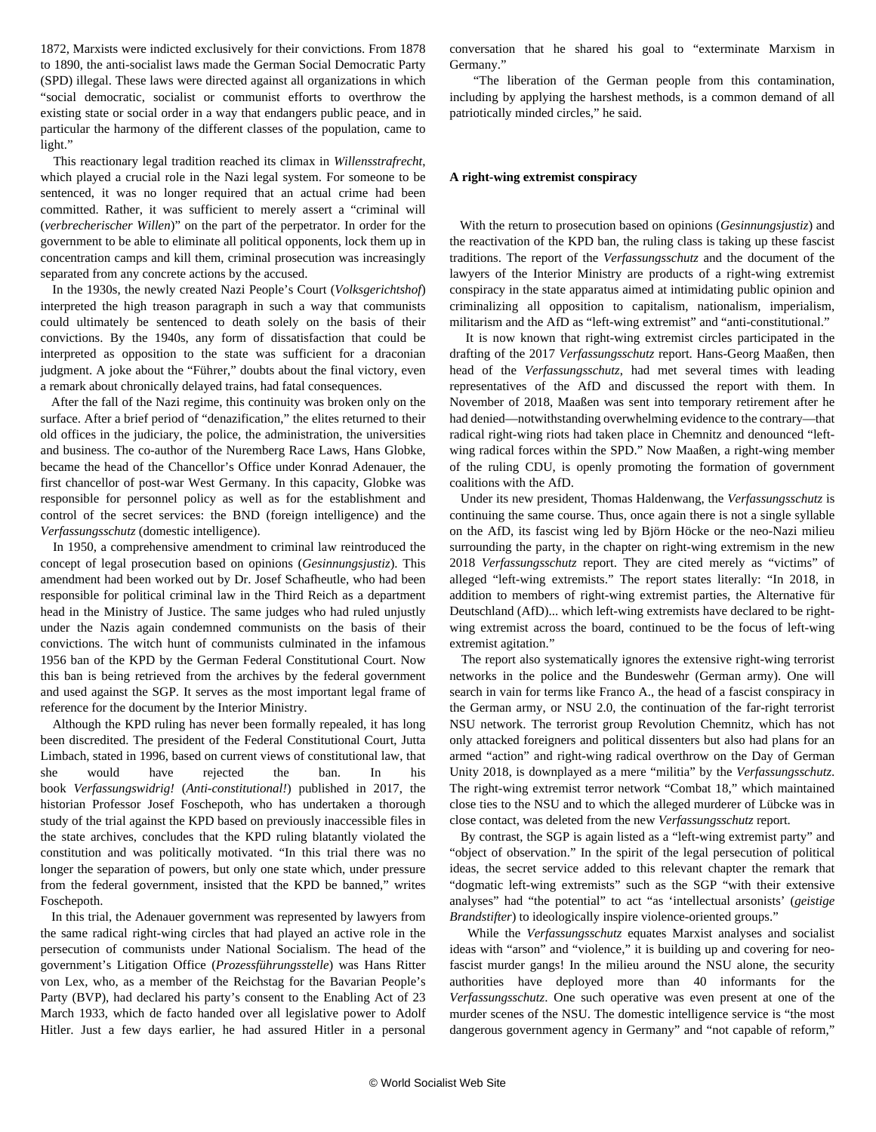1872, Marxists were indicted exclusively for their convictions. From 1878 to 1890, the anti-socialist laws made the German Social Democratic Party (SPD) illegal. These laws were directed against all organizations in which "social democratic, socialist or communist efforts to overthrow the existing state or social order in a way that endangers public peace, and in particular the harmony of the different classes of the population, came to light."

 This reactionary legal tradition reached its climax in *Willensstrafrecht*, which played a crucial role in the Nazi legal system. For someone to be sentenced, it was no longer required that an actual crime had been committed. Rather, it was sufficient to merely assert a "criminal will (*verbrecherischer Willen*)" on the part of the perpetrator. In order for the government to be able to eliminate all political opponents, lock them up in concentration camps and kill them, criminal prosecution was increasingly separated from any concrete actions by the accused.

 In the 1930s, the newly created Nazi People's Court (*Volksgerichtshof*) interpreted the high treason paragraph in such a way that communists could ultimately be sentenced to death solely on the basis of their convictions. By the 1940s, any form of dissatisfaction that could be interpreted as opposition to the state was sufficient for a draconian judgment. A joke about the "Führer," doubts about the final victory, even a remark about chronically delayed trains, had fatal consequences.

 After the fall of the Nazi regime, this continuity was broken only on the surface. After a brief period of "denazification," the elites returned to their old offices in the judiciary, the police, the administration, the universities and business. The co-author of the Nuremberg Race Laws, Hans Globke, became the head of the Chancellor's Office under Konrad Adenauer, the first chancellor of post-war West Germany. In this capacity, Globke was responsible for personnel policy as well as for the establishment and control of the secret services: the BND (foreign intelligence) and the *Verfassungsschutz* (domestic intelligence).

 In 1950, a comprehensive amendment to criminal law reintroduced the concept of legal prosecution based on opinions (*Gesinnungsjustiz*). This amendment had been worked out by Dr. Josef Schafheutle, who had been responsible for political criminal law in the Third Reich as a department head in the Ministry of Justice. The same judges who had ruled unjustly under the Nazis again condemned communists on the basis of their convictions. The witch hunt of communists culminated in the infamous 1956 ban of the KPD by the German Federal Constitutional Court. Now this ban is being retrieved from the archives by the federal government and used against the SGP. It serves as the most important legal frame of reference for the document by the Interior Ministry.

 Although the KPD ruling has never been formally repealed, it has long been discredited. The president of the Federal Constitutional Court, Jutta Limbach, stated in 1996, based on current views of constitutional law, that she would have rejected the ban. In his book *Verfassungswidrig!* (*Anti-constitutional!*) published in 2017, the historian Professor Josef Foschepoth, who has undertaken a thorough study of the trial against the KPD based on previously inaccessible files in the state archives, concludes that the KPD ruling blatantly violated the constitution and was politically motivated. "In this trial there was no longer the separation of powers, but only one state which, under pressure from the federal government, insisted that the KPD be banned," writes Foschepoth.

 In this trial, the Adenauer government was represented by lawyers from the same radical right-wing circles that had played an active role in the persecution of communists under National Socialism. The head of the government's Litigation Office (*Prozessführungsstelle*) was Hans Ritter von Lex, who, as a member of the Reichstag for the Bavarian People's Party (BVP), had declared his party's consent to the Enabling Act of 23 March 1933, which de facto handed over all legislative power to Adolf Hitler. Just a few days earlier, he had assured Hitler in a personal conversation that he shared his goal to "exterminate Marxism in Germany."

 "The liberation of the German people from this contamination, including by applying the harshest methods, is a common demand of all patriotically minded circles," he said.

### **A right-wing extremist conspiracy**

 With the return to prosecution based on opinions (*Gesinnungsjustiz*) and the reactivation of the KPD ban, the ruling class is taking up these fascist traditions. The report of the *Verfassungsschutz* and the document of the lawyers of the Interior Ministry are products of a right-wing extremist conspiracy in the state apparatus aimed at intimidating public opinion and criminalizing all opposition to capitalism, nationalism, imperialism, militarism and the AfD as "left-wing extremist" and "anti-constitutional."

 It is now known that right-wing extremist circles participated in the drafting of the 2017 *Verfassungsschutz* report. Hans-Georg Maaßen, then head of the *Verfassungsschutz*, had met several times with leading representatives of the AfD and discussed the report with them. In November of 2018, Maaßen was sent into temporary retirement after he had denied—notwithstanding overwhelming evidence to the contrary—that radical right-wing riots had taken place in Chemnitz and denounced "leftwing radical forces within the SPD." Now Maaßen, a right-wing member of the ruling CDU, is openly promoting the formation of government coalitions with the AfD.

 Under its new president, Thomas Haldenwang, the *Verfassungsschutz* is continuing the same course. Thus, once again there is not a single syllable on the AfD, its fascist wing led by Björn Höcke or the neo-Nazi milieu surrounding the party, in the chapter on right-wing extremism in the new 2018 *Verfassungsschutz* report. They are cited merely as "victims" of alleged "left-wing extremists." The report states literally: "In 2018, in addition to members of right-wing extremist parties, the Alternative für Deutschland (AfD)... which left-wing extremists have declared to be rightwing extremist across the board, continued to be the focus of left-wing extremist agitation."

 The report also systematically ignores the extensive right-wing terrorist networks in the police and the Bundeswehr (German army). One will search in vain for terms like Franco A., the head of a fascist conspiracy in the German army, or NSU 2.0, the continuation of the far-right terrorist NSU network. The terrorist group Revolution Chemnitz, which has not only attacked foreigners and political dissenters but also had plans for an armed "action" and right-wing radical overthrow on the Day of German Unity 2018, is downplayed as a mere "militia" by the *Verfassungsschutz*. The right-wing extremist terror network "Combat 18," which maintained close ties to the NSU and to which the alleged murderer of Lübcke was in close contact, was deleted from the new *Verfassungsschutz* report.

 By contrast, the SGP is again listed as a "left-wing extremist party" and "object of observation." In the spirit of the legal persecution of political ideas, the secret service added to this relevant chapter the remark that "dogmatic left-wing extremists" such as the SGP "with their extensive analyses" had "the potential" to act "as 'intellectual arsonists' (*geistige Brandstifter*) to ideologically inspire violence-oriented groups."

 While the *Verfassungsschutz* equates Marxist analyses and socialist ideas with "arson" and "violence," it is building up and covering for neofascist murder gangs! In the milieu around the NSU alone, the security authorities have deployed more than 40 informants for the *Verfassungsschutz*. One such operative was even present at one of the murder scenes of the NSU. The domestic intelligence service is "the most dangerous government agency in Germany" and "not capable of reform,"